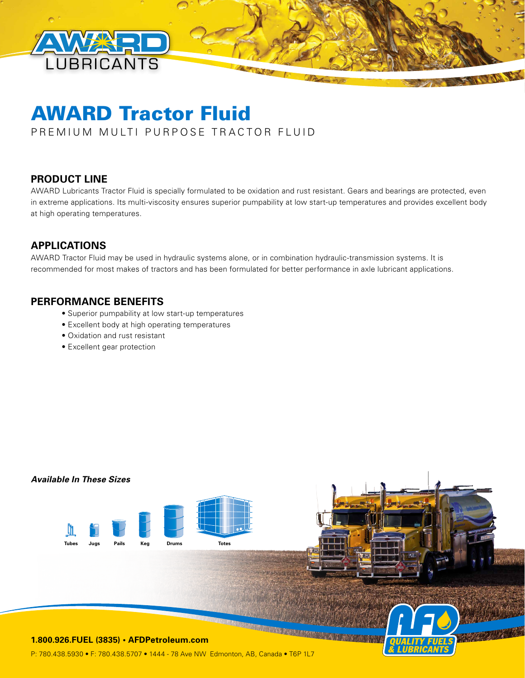

# AWARD Tractor Fluid

PREMIUM MULTI PURPOSE TRACTOR FLUID

## **PRODUCT LINE**

AWARD Lubricants Tractor Fluid is specially formulated to be oxidation and rust resistant. Gears and bearings are protected, even in extreme applications. Its multi-viscosity ensures superior pumpability at low start-up temperatures and provides excellent body at high operating temperatures.

## **APPLICATIONS**

AWARD Tractor Fluid may be used in hydraulic systems alone, or in combination hydraulic-transmission systems. It is recommended for most makes of tractors and has been formulated for better performance in axle lubricant applications.

#### **PERFORMANCE BENEFITS**

- Superior pumpability at low start-up temperatures
- Excellent body at high operating temperatures
- Oxidation and rust resistant
- Excellent gear protection

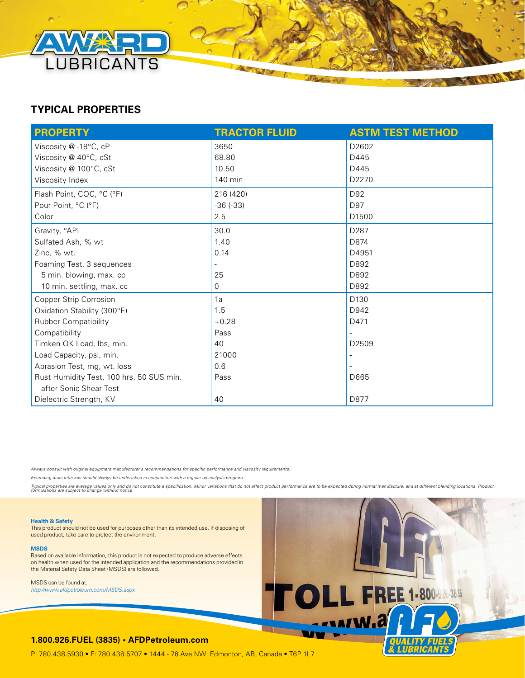

# **TYPICAL PROPERTIES**

| <b>PROPERTY</b>                          | <b>TRACTOR FLUID</b>     | <b>ASTM TEST METHOD</b> |
|------------------------------------------|--------------------------|-------------------------|
| Viscosity @-18°C, cP                     | 3650                     | D2602                   |
| Viscosity @ 40°C, cSt                    | 68.80                    | D445                    |
| Viscosity @ 100°C, cSt                   | 10.50                    | D445                    |
| Viscosity Index                          | 140 min                  | D2270                   |
| Flash Point, COC, °C (°F)                | 216 (420)                | D92                     |
| Pour Point, °C (°F)                      | $-36(-33)$               | D97                     |
| Color                                    | 2.5                      | D <sub>1500</sub>       |
| Gravity, °API                            | 30.0                     | D287                    |
| Sulfated Ash, % wt                       | 1.40                     | D874                    |
| Zinc, % wt.                              | 0.14                     | D4951                   |
| Foaming Test, 3 sequences                |                          | D892                    |
| 5 min. blowing, max. cc                  | 25                       | D892                    |
| 10 min. settling, max. cc                | 0                        | D892                    |
| <b>Copper Strip Corrosion</b>            | 1a                       | D130                    |
| Oxidation Stability (300°F)              | 1.5                      | D942                    |
| <b>Rubber Compatibility</b>              | $+0.28$                  | D471                    |
| Compatibility                            | Pass                     |                         |
| Timken OK Load, Ibs, min.                | 40                       | D <sub>2509</sub>       |
| Load Capacity, psi, min.                 | 21000                    |                         |
| Abrasion Test, mg, wt. loss              | 0.6                      |                         |
| Rust Humidity Test, 100 hrs. 50 SUS min. | Pass                     | D665                    |
| after Sonic Shear Test                   | $\overline{\phantom{a}}$ |                         |
| Dielectric Strength, KV                  | 40                       | D877                    |

*Always consult with original equipment manufacturer's recommendations for specific performance and viscosity requirements.* 

*Extending drain intervals should always be undertaken in conjunction with a regular oil analysis program.*

Typical properties are average values only and do not constitute a specification. Minor variations that do not affect product performance are to be expected during normal manufacture, and at different blending locations. P



This product should not be used for purposes other than its intended use. If disposing of used product, take care to protect the environment.

**MSDS**

Based on available information, this product is not expected to produce adverse effects on health when used for the intended application and the recommendations provided in the Material Safety Data Sheet (MSDS) are followed.

MSDS can be found at: *http://www.afdpetroleum.com/MSDS.aspx*



**Allen Stations** 

#### **1.800.926.FUEL (3835) • AFDPetroleum.com**

P: 780.438.5930 • F: 780.438.5707 • 1444 - 78 Ave NW Edmonton, AB, Canada • T6P 1L7